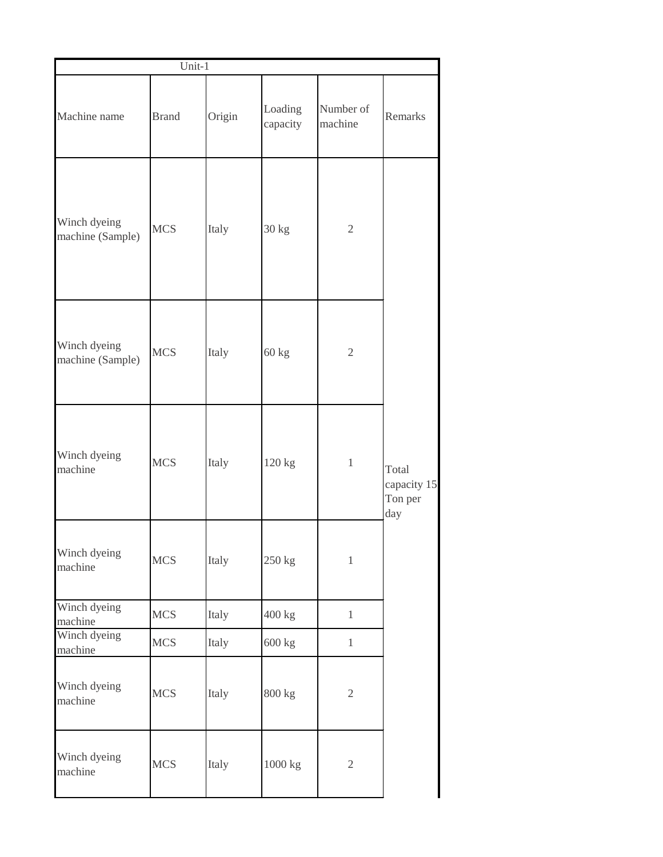| $\overline{Unit-1}$              |              |        |                     |                      |                                        |  |  |
|----------------------------------|--------------|--------|---------------------|----------------------|----------------------------------------|--|--|
| Machine name                     | <b>Brand</b> | Origin | Loading<br>capacity | Number of<br>machine | Remarks                                |  |  |
| Winch dyeing<br>machine (Sample) | <b>MCS</b>   | Italy  | 30 kg               | $\overline{2}$       |                                        |  |  |
| Winch dyeing<br>machine (Sample) | <b>MCS</b>   | Italy  | 60 kg               | $\mathbf{2}$         |                                        |  |  |
| Winch dyeing<br>machine          | <b>MCS</b>   | Italy  | 120 kg              | $\mathbf{1}$         | Total<br>capacity 15<br>Ton per<br>day |  |  |
| Winch dyeing<br>machine          | <b>MCS</b>   | Italy  | 250 kg              | $\mathbf{1}$         |                                        |  |  |
| Winch dyeing<br>machine          | <b>MCS</b>   | Italy  | 400 kg              | $\mathbf{1}$         |                                        |  |  |
| Winch dyeing<br>machine          | <b>MCS</b>   | Italy  | 600 kg              | $\,1$                |                                        |  |  |
| Winch dyeing<br>machine          | <b>MCS</b>   | Italy  | 800 kg              | $\sqrt{2}$           |                                        |  |  |
| Winch dyeing<br>machine          | <b>MCS</b>   | Italy  | $1000\ \mathrm{kg}$ | $\overline{2}$       |                                        |  |  |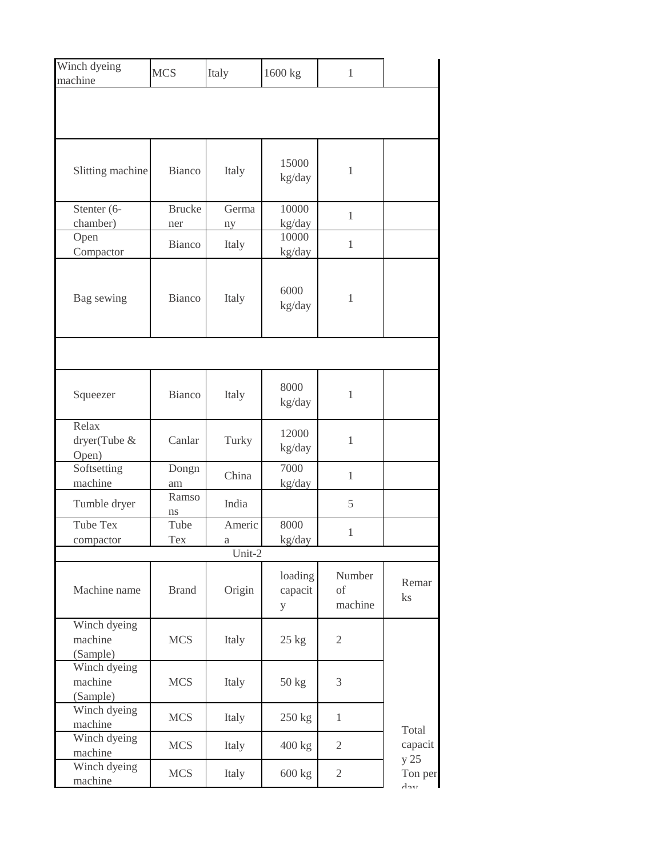| Winch dyeing<br>machine             | <b>MCS</b>             | Italy  | 1600 kg                 | $\mathbf{1}$            |                                         |
|-------------------------------------|------------------------|--------|-------------------------|-------------------------|-----------------------------------------|
|                                     |                        |        |                         |                         |                                         |
| Slitting machine                    | <b>Bianco</b>          | Italy  | 15000<br>kg/day         | $\,1$                   |                                         |
| Stenter (6-                         | <b>Brucke</b>          | Germa  | 10000                   | $\mathbf{1}$            |                                         |
| chamber)                            | ner                    | ny     | kg/day                  |                         |                                         |
| Open<br>Compactor                   | <b>Bianco</b>          | Italy  | 10000<br>kg/day         | $\mathbf{1}$            |                                         |
| Bag sewing                          | <b>Bianco</b>          | Italy  | 6000<br>kg/day          | $\,1$                   |                                         |
|                                     |                        |        |                         |                         |                                         |
| Squeezer                            | <b>Bianco</b>          | Italy  | 8000<br>kg/day          | 1                       |                                         |
| Relax<br>dryer(Tube &<br>Open)      | Canlar                 | Turky  | 12000<br>kg/day         | $\mathbf{1}$            |                                         |
| Softsetting<br>machine              | Dongn<br>am            | China  | 7000<br>kg/day          | $\mathbf{1}$            |                                         |
| Tumble dryer                        | Ramso<br>ns            | India  |                         | 5                       |                                         |
| <b>Tube Tex</b>                     | Tube                   | Americ | 8000                    |                         |                                         |
| compactor                           | $\operatorname{Texas}$ | a      | kg/day                  | $\,1$                   |                                         |
|                                     |                        | Unit-2 |                         |                         |                                         |
| Machine name                        | <b>Brand</b>           | Origin | loading<br>capacit<br>y | Number<br>of<br>machine | Remar<br>ks                             |
| Winch dyeing<br>machine<br>(Sample) | <b>MCS</b>             | Italy  | $25$ kg                 | $\mathfrak{2}$          |                                         |
| Winch dyeing<br>machine<br>(Sample) | <b>MCS</b>             | Italy  | $50 \text{ kg}$         | 3                       |                                         |
| Winch dyeing<br>machine             | <b>MCS</b>             | Italy  | 250 kg                  | $\mathbf{1}$            | Total                                   |
| Winch dyeing<br>machine             | <b>MCS</b>             | Italy  | $400 \text{ kg}$        | $\overline{2}$          | capacit                                 |
| Winch dyeing<br>machine             | <b>MCS</b>             | Italy  | 600 kg                  | $\mathbf{2}$            | y 25<br>Ton per<br>$A_{\alpha\tau\tau}$ |